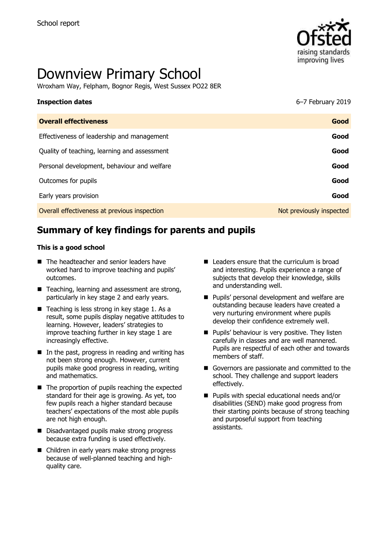

# Downview Primary School

Wroxham Way, Felpham, Bognor Regis, West Sussex PO22 8ER

# **Inspection dates** 6–7 February 2019 **Overall effectiveness Good** Effectiveness of leadership and management **Good** Quality of teaching, learning and assessment **Good** Personal development, behaviour and welfare **Good Good** Outcomes for pupils **Good** Early years provision **Good** Overall effectiveness at previous inspection Not previously inspected

# **Summary of key findings for parents and pupils**

#### **This is a good school**

- The headteacher and senior leaders have worked hard to improve teaching and pupils' outcomes.
- Teaching, learning and assessment are strong, particularly in key stage 2 and early years.
- $\blacksquare$  Teaching is less strong in key stage 1. As a result, some pupils display negative attitudes to learning. However, leaders' strategies to improve teaching further in key stage 1 are increasingly effective.
- $\blacksquare$  In the past, progress in reading and writing has not been strong enough. However, current pupils make good progress in reading, writing and mathematics.
- The proportion of pupils reaching the expected standard for their age is growing. As yet, too few pupils reach a higher standard because teachers' expectations of the most able pupils are not high enough.
- Disadvantaged pupils make strong progress because extra funding is used effectively.
- Children in early years make strong progress because of well-planned teaching and highquality care.
- $\blacksquare$  Leaders ensure that the curriculum is broad and interesting. Pupils experience a range of subjects that develop their knowledge, skills and understanding well.
- **Pupils' personal development and welfare are** outstanding because leaders have created a very nurturing environment where pupils develop their confidence extremely well.
- **Pupils' behaviour is very positive. They listen** carefully in classes and are well mannered. Pupils are respectful of each other and towards members of staff.
- Governors are passionate and committed to the school. They challenge and support leaders effectively.
- **Pupils with special educational needs and/or** disabilities (SEND) make good progress from their starting points because of strong teaching and purposeful support from teaching assistants.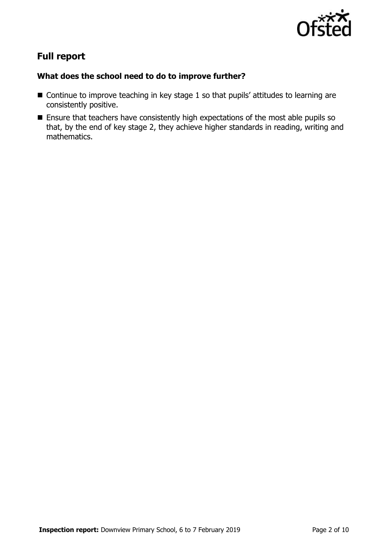

# **Full report**

#### **What does the school need to do to improve further?**

- Continue to improve teaching in key stage 1 so that pupils' attitudes to learning are consistently positive.
- **Ensure that teachers have consistently high expectations of the most able pupils so** that, by the end of key stage 2, they achieve higher standards in reading, writing and mathematics.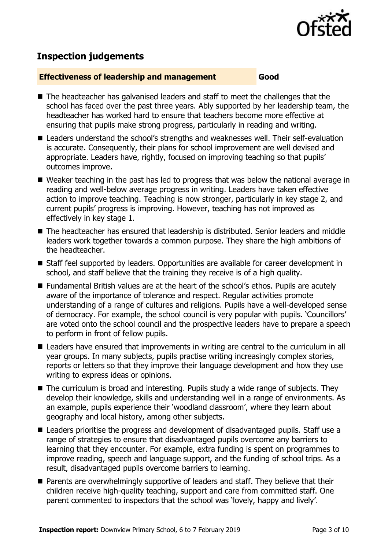

## **Inspection judgements**

#### **Effectiveness of leadership and management Good**

- The headteacher has galvanised leaders and staff to meet the challenges that the school has faced over the past three years. Ably supported by her leadership team, the headteacher has worked hard to ensure that teachers become more effective at ensuring that pupils make strong progress, particularly in reading and writing.
- Leaders understand the school's strengths and weaknesses well. Their self-evaluation is accurate. Consequently, their plans for school improvement are well devised and appropriate. Leaders have, rightly, focused on improving teaching so that pupils' outcomes improve.
- Weaker teaching in the past has led to progress that was below the national average in reading and well-below average progress in writing. Leaders have taken effective action to improve teaching. Teaching is now stronger, particularly in key stage 2, and current pupils' progress is improving. However, teaching has not improved as effectively in key stage 1.
- The headteacher has ensured that leadership is distributed. Senior leaders and middle leaders work together towards a common purpose. They share the high ambitions of the headteacher.
- Staff feel supported by leaders. Opportunities are available for career development in school, and staff believe that the training they receive is of a high quality.
- Fundamental British values are at the heart of the school's ethos. Pupils are acutely aware of the importance of tolerance and respect. Regular activities promote understanding of a range of cultures and religions. Pupils have a well-developed sense of democracy. For example, the school council is very popular with pupils. 'Councillors' are voted onto the school council and the prospective leaders have to prepare a speech to perform in front of fellow pupils.
- Leaders have ensured that improvements in writing are central to the curriculum in all year groups. In many subjects, pupils practise writing increasingly complex stories, reports or letters so that they improve their language development and how they use writing to express ideas or opinions.
- The curriculum is broad and interesting. Pupils study a wide range of subjects. They develop their knowledge, skills and understanding well in a range of environments. As an example, pupils experience their 'woodland classroom', where they learn about geography and local history, among other subjects.
- Leaders prioritise the progress and development of disadvantaged pupils. Staff use a range of strategies to ensure that disadvantaged pupils overcome any barriers to learning that they encounter. For example, extra funding is spent on programmes to improve reading, speech and language support, and the funding of school trips. As a result, disadvantaged pupils overcome barriers to learning.
- **Parents are overwhelmingly supportive of leaders and staff. They believe that their** children receive high-quality teaching, support and care from committed staff. One parent commented to inspectors that the school was 'lovely, happy and lively'.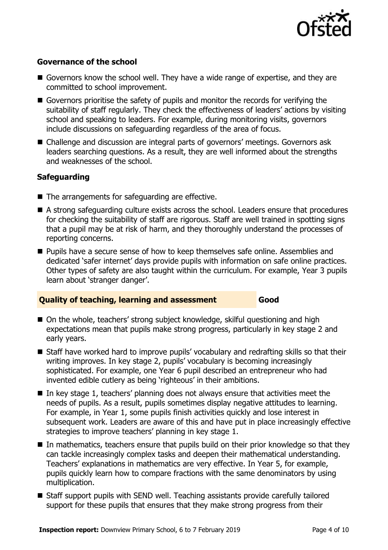

#### **Governance of the school**

- Governors know the school well. They have a wide range of expertise, and they are committed to school improvement.
- Governors prioritise the safety of pupils and monitor the records for verifying the suitability of staff regularly. They check the effectiveness of leaders' actions by visiting school and speaking to leaders. For example, during monitoring visits, governors include discussions on safeguarding regardless of the area of focus.
- Challenge and discussion are integral parts of governors' meetings. Governors ask leaders searching questions. As a result, they are well informed about the strengths and weaknesses of the school.

### **Safeguarding**

- $\blacksquare$  The arrangements for safeguarding are effective.
- A strong safeguarding culture exists across the school. Leaders ensure that procedures for checking the suitability of staff are rigorous. Staff are well trained in spotting signs that a pupil may be at risk of harm, and they thoroughly understand the processes of reporting concerns.
- **Pupils have a secure sense of how to keep themselves safe online. Assemblies and** dedicated 'safer internet' days provide pupils with information on safe online practices. Other types of safety are also taught within the curriculum. For example, Year 3 pupils learn about 'stranger danger'.

### **Quality of teaching, learning and assessment Good**

- On the whole, teachers' strong subject knowledge, skilful questioning and high expectations mean that pupils make strong progress, particularly in key stage 2 and early years.
- Staff have worked hard to improve pupils' vocabulary and redrafting skills so that their writing improves. In key stage 2, pupils' vocabulary is becoming increasingly sophisticated. For example, one Year 6 pupil described an entrepreneur who had invented edible cutlery as being 'righteous' in their ambitions.
- $\blacksquare$  In key stage 1, teachers' planning does not always ensure that activities meet the needs of pupils. As a result, pupils sometimes display negative attitudes to learning. For example, in Year 1, some pupils finish activities quickly and lose interest in subsequent work. Leaders are aware of this and have put in place increasingly effective strategies to improve teachers' planning in key stage 1.
- In mathematics, teachers ensure that pupils build on their prior knowledge so that they can tackle increasingly complex tasks and deepen their mathematical understanding. Teachers' explanations in mathematics are very effective. In Year 5, for example, pupils quickly learn how to compare fractions with the same denominators by using multiplication.
- Staff support pupils with SEND well. Teaching assistants provide carefully tailored support for these pupils that ensures that they make strong progress from their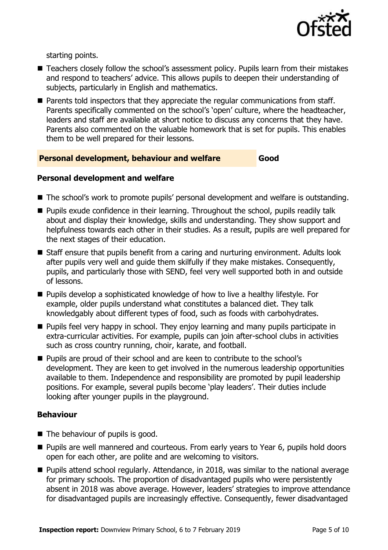

starting points.

- Teachers closely follow the school's assessment policy. Pupils learn from their mistakes and respond to teachers' advice. This allows pupils to deepen their understanding of subjects, particularly in English and mathematics.
- **Parents told inspectors that they appreciate the regular communications from staff.** Parents specifically commented on the school's 'open' culture, where the headteacher, leaders and staff are available at short notice to discuss any concerns that they have. Parents also commented on the valuable homework that is set for pupils. This enables them to be well prepared for their lessons.

#### **Personal development, behaviour and welfare Good**

#### **Personal development and welfare**

- The school's work to promote pupils' personal development and welfare is outstanding.
- **Pupils exude confidence in their learning. Throughout the school, pupils readily talk** about and display their knowledge, skills and understanding. They show support and helpfulness towards each other in their studies. As a result, pupils are well prepared for the next stages of their education.
- Staff ensure that pupils benefit from a caring and nurturing environment. Adults look after pupils very well and guide them skilfully if they make mistakes. Consequently, pupils, and particularly those with SEND, feel very well supported both in and outside of lessons.
- Pupils develop a sophisticated knowledge of how to live a healthy lifestyle. For example, older pupils understand what constitutes a balanced diet. They talk knowledgably about different types of food, such as foods with carbohydrates.
- **Pupils feel very happy in school. They enjoy learning and many pupils participate in** extra-curricular activities. For example, pupils can join after-school clubs in activities such as cross country running, choir, karate, and football.
- **Pupils are proud of their school and are keen to contribute to the school's** development. They are keen to get involved in the numerous leadership opportunities available to them. Independence and responsibility are promoted by pupil leadership positions. For example, several pupils become 'play leaders'. Their duties include looking after younger pupils in the playground.

#### **Behaviour**

- The behaviour of pupils is good.
- **Pupils are well mannered and courteous. From early years to Year 6, pupils hold doors** open for each other, are polite and are welcoming to visitors.
- **Pupils attend school regularly. Attendance, in 2018, was similar to the national average** for primary schools. The proportion of disadvantaged pupils who were persistently absent in 2018 was above average. However, leaders' strategies to improve attendance for disadvantaged pupils are increasingly effective. Consequently, fewer disadvantaged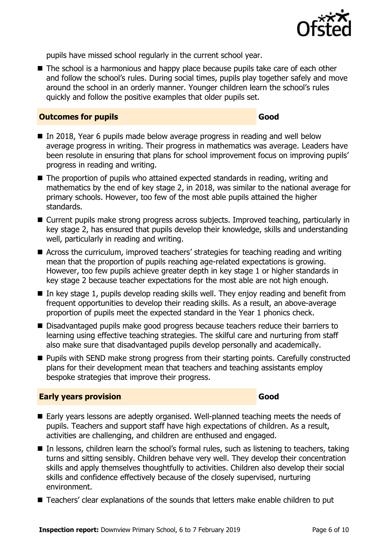

pupils have missed school regularly in the current school year.

■ The school is a harmonious and happy place because pupils take care of each other and follow the school's rules. During social times, pupils play together safely and move around the school in an orderly manner. Younger children learn the school's rules quickly and follow the positive examples that older pupils set.

#### **Outcomes for pupils Good**

- In 2018, Year 6 pupils made below average progress in reading and well below average progress in writing. Their progress in mathematics was average. Leaders have been resolute in ensuring that plans for school improvement focus on improving pupils' progress in reading and writing.
- The proportion of pupils who attained expected standards in reading, writing and mathematics by the end of key stage 2, in 2018, was similar to the national average for primary schools. However, too few of the most able pupils attained the higher standards.
- Current pupils make strong progress across subjects. Improved teaching, particularly in key stage 2, has ensured that pupils develop their knowledge, skills and understanding well, particularly in reading and writing.
- Across the curriculum, improved teachers' strategies for teaching reading and writing mean that the proportion of pupils reaching age-related expectations is growing. However, too few pupils achieve greater depth in key stage 1 or higher standards in key stage 2 because teacher expectations for the most able are not high enough.
- $\blacksquare$  In key stage 1, pupils develop reading skills well. They enjoy reading and benefit from frequent opportunities to develop their reading skills. As a result, an above-average proportion of pupils meet the expected standard in the Year 1 phonics check.
- Disadvantaged pupils make good progress because teachers reduce their barriers to learning using effective teaching strategies. The skilful care and nurturing from staff also make sure that disadvantaged pupils develop personally and academically.
- Pupils with SEND make strong progress from their starting points. Carefully constructed plans for their development mean that teachers and teaching assistants employ bespoke strategies that improve their progress.

#### **Early years provision Good Good**

- Early years lessons are adeptly organised. Well-planned teaching meets the needs of pupils. Teachers and support staff have high expectations of children. As a result, activities are challenging, and children are enthused and engaged.
- In lessons, children learn the school's formal rules, such as listening to teachers, taking turns and sitting sensibly. Children behave very well. They develop their concentration skills and apply themselves thoughtfully to activities. Children also develop their social skills and confidence effectively because of the closely supervised, nurturing environment.
- Teachers' clear explanations of the sounds that letters make enable children to put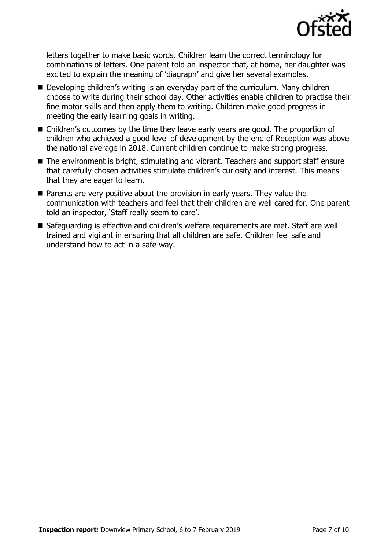

letters together to make basic words. Children learn the correct terminology for combinations of letters. One parent told an inspector that, at home, her daughter was excited to explain the meaning of 'diagraph' and give her several examples.

- Developing children's writing is an everyday part of the curriculum. Many children choose to write during their school day. Other activities enable children to practise their fine motor skills and then apply them to writing. Children make good progress in meeting the early learning goals in writing.
- Children's outcomes by the time they leave early years are good. The proportion of children who achieved a good level of development by the end of Reception was above the national average in 2018. Current children continue to make strong progress.
- The environment is bright, stimulating and vibrant. Teachers and support staff ensure that carefully chosen activities stimulate children's curiosity and interest. This means that they are eager to learn.
- **Parents are very positive about the provision in early years. They value the** communication with teachers and feel that their children are well cared for. One parent told an inspector, 'Staff really seem to care'.
- Safeguarding is effective and children's welfare requirements are met. Staff are well trained and vigilant in ensuring that all children are safe. Children feel safe and understand how to act in a safe way.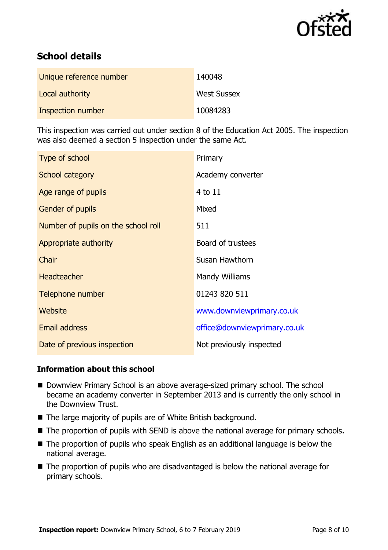

# **School details**

| Unique reference number | 140048             |
|-------------------------|--------------------|
| Local authority         | <b>West Sussex</b> |
| Inspection number       | 10084283           |

This inspection was carried out under section 8 of the Education Act 2005. The inspection was also deemed a section 5 inspection under the same Act.

| Type of school                      | Primary                      |
|-------------------------------------|------------------------------|
| School category                     | Academy converter            |
| Age range of pupils                 | 4 to 11                      |
| Gender of pupils                    | Mixed                        |
| Number of pupils on the school roll | 511                          |
| Appropriate authority               | Board of trustees            |
| Chair                               | Susan Hawthorn               |
| <b>Headteacher</b>                  | Mandy Williams               |
| Telephone number                    | 01243 820 511                |
| Website                             | www.downviewprimary.co.uk    |
| <b>Email address</b>                | office@downviewprimary.co.uk |
| Date of previous inspection         | Not previously inspected     |

#### **Information about this school**

- Downview Primary School is an above average-sized primary school. The school became an academy converter in September 2013 and is currently the only school in the Downview Trust.
- The large majority of pupils are of White British background.
- The proportion of pupils with SEND is above the national average for primary schools.
- The proportion of pupils who speak English as an additional language is below the national average.
- The proportion of pupils who are disadvantaged is below the national average for primary schools.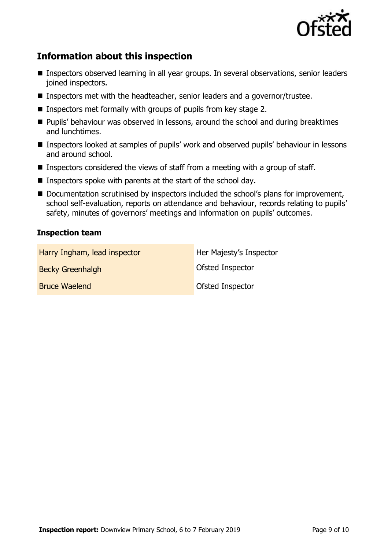

# **Information about this inspection**

- Inspectors observed learning in all year groups. In several observations, senior leaders joined inspectors.
- Inspectors met with the headteacher, senior leaders and a governor/trustee.
- **Inspectors met formally with groups of pupils from key stage 2.**
- **Pupils' behaviour was observed in lessons, around the school and during breaktimes** and lunchtimes.
- Inspectors looked at samples of pupils' work and observed pupils' behaviour in lessons and around school.
- Inspectors considered the views of staff from a meeting with a group of staff.
- **I** Inspectors spoke with parents at the start of the school day.
- Documentation scrutinised by inspectors included the school's plans for improvement, school self-evaluation, reports on attendance and behaviour, records relating to pupils' safety, minutes of governors' meetings and information on pupils' outcomes.

#### **Inspection team**

| Harry Ingham, lead inspector | Her Majesty's Inspector |
|------------------------------|-------------------------|
| <b>Becky Greenhalgh</b>      | Ofsted Inspector        |
| <b>Bruce Waelend</b>         | Ofsted Inspector        |